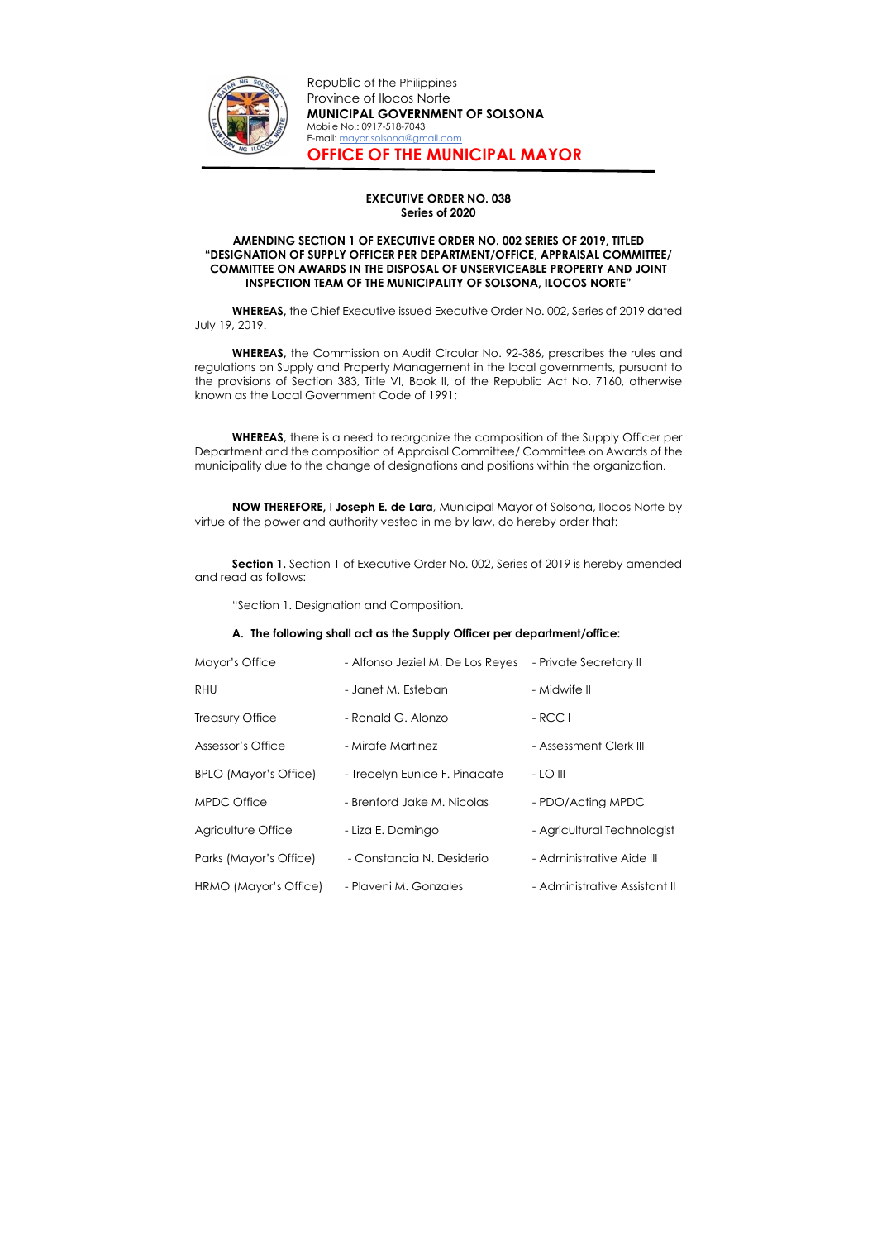

Republic of the Philippines Province of Ilocos Norte MUNICIPAL GOVERNMENT OF SOLSONA Mobile No.: 0917-518-7043 E-mail: mayor.solsona@gmail.com OFFICE OF THE MUNICIPAL MAYOR

## EXECUTIVE ORDER NO. 038 Series of 2020

#### AMENDING SECTION 1 OF EXECUTIVE ORDER NO. 002 SERIES OF 2019, TITLED "DESIGNATION OF SUPPLY OFFICER PER DEPARTMENT/OFFICE, APPRAISAL COMMITTEE/ COMMITTEE ON AWARDS IN THE DISPOSAL OF UNSERVICEABLE PROPERTY AND JOINT INSPECTION TEAM OF THE MUNICIPALITY OF SOLSONA, ILOCOS NORTE"

WHEREAS, the Chief Executive issued Executive Order No. 002, Series of 2019 dated July 19, 2019.

Section 1. Section 1 of Executive Order No. 002, Series of 2019 is hereby amended and read as follows:

WHEREAS, the Commission on Audit Circular No. 92-386, prescribes the rules and regulations on Supply and Property Management in the local governments, pursuant to the provisions of Section 383, Title VI, Book II, of the Republic Act No. 7160, otherwise known as the Local Government Code of 1991;

WHEREAS, there is a need to reorganize the composition of the Supply Officer per Department and the composition of Appraisal Committee/ Committee on Awards of the municipality due to the change of designations and positions within the organization.

NOW THEREFORE, I Joseph E. de Lara, Municipal Mayor of Solsona, Ilocos Norte by virtue of the power and authority vested in me by law, do hereby order that:

"Section 1. Designation and Composition.

#### A. The following shall act as the Supply Officer per department/office:

| Mayor's Office               | - Alfonso Jeziel M. De Los Reyes | - Private Secretary II        |
|------------------------------|----------------------------------|-------------------------------|
| <b>RHU</b>                   | - Janet M. Esteban               | - Midwife II                  |
| <b>Treasury Office</b>       | - Ronald G. Alonzo               | $-$ RCC I                     |
| Assessor's Office            | - Mirafe Martinez                | - Assessment Clerk III        |
| <b>BPLO (Mayor's Office)</b> | - Trecelyn Eunice F. Pinacate    | $-LOIII$                      |
| <b>MPDC Office</b>           | - Brenford Jake M. Nicolas       | - PDO/Acting MPDC             |
| Agriculture Office           | - Liza E. Domingo                | - Agricultural Technologist   |
| Parks (Mayor's Office)       | - Constancia N. Desiderio        | - Administrative Aide III     |
| HRMO (Mayor's Office)        | - Plaveni M. Gonzales            | - Administrative Assistant II |